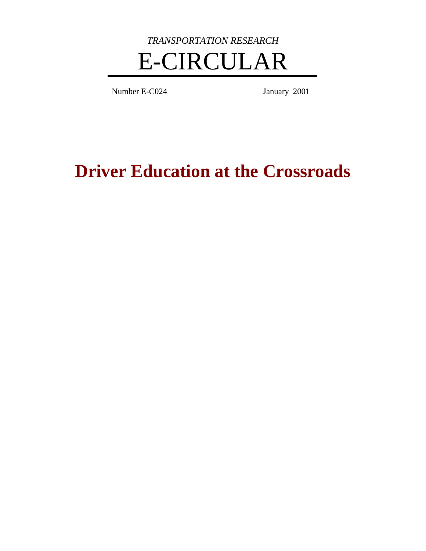

Number E-C024 January 2001

**Driver Education at the Crossroads**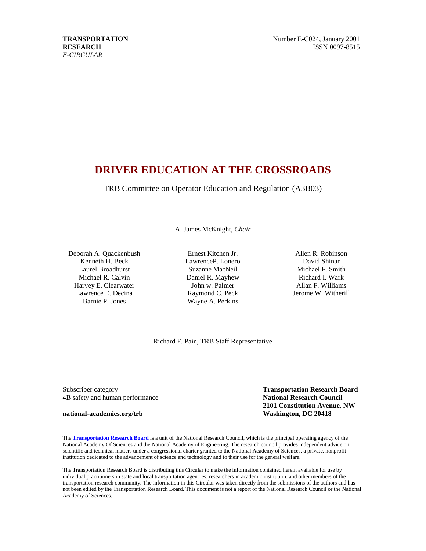# **DRIVER EDUCATION AT THE CROSSROADS**

TRB Committee on Operator Education and Regulation (A3B03)

A. James McKnight, *Chair*

Deborah A. Quackenbush Kenneth H. Beck Laurel Broadhurst Michael R. Calvin Harvey E. Clearwater Lawrence E. Decina Barnie P. Jones

Ernest Kitchen Jr. LawrenceP. Lonero Suzanne MacNeil Daniel R. Mayhew John w. Palmer Raymond C. Peck Wayne A. Perkins

Allen R. Robinson David Shinar Michael F. Smith Richard I. Wark Allan F. Williams Jerome W. Witherill

Richard F. Pain, TRB Staff Representative

Subscriber category **Transportation Research Board** 4B safety and human performance **National Research Council**

**national-academies.org/trb Washington, DC 20418**

**2101 Constitution Avenue, NW**

The **[Transportation](http://gulliver.trb.org/publications/circulars/NASpage.pdf) Research Board** is a unit of the National Research Council, which is the principal operating agency of the National Academy Of Sciences and the National Academy of Engineering. The research council provides independent advice on scientific and technical matters under a congressional charter granted to the National Academy of Sciences, a private, nonprofit institution dedicated to the advancement of science and technology and to their use for the general welfare.

The Transportation Research Board is distributing this Circular to make the information contained herein available for use by individual practitioners in state and local transportation agencies, researchers in academic institution, and other members of the transportation research community. The information in this Circular was taken directly from the submissions of the authors and has not been edited by the Transportation Research Board. This document is not a report of the National Research Council or the National Academy of Sciences.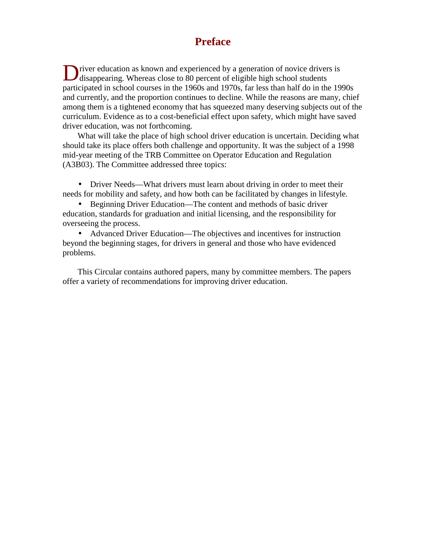# **Preface**

Diver education as known and experienced by a generation of novice drivers is disappearing. Whereas close to 80 percent of eligible high school students disappearing. Whereas close to 80 percent of eligible high school students participated in school courses in the 1960s and 1970s, far less than half do in the 1990s and currently, and the proportion continues to decline. While the reasons are many, chief among them is a tightened economy that has squeezed many deserving subjects out of the curriculum. Evidence as to a cost-beneficial effect upon safety, which might have saved driver education, was not forthcoming.

What will take the place of high school driver education is uncertain. Deciding what should take its place offers both challenge and opportunity. It was the subject of a 1998 mid-year meeting of the TRB Committee on Operator Education and Regulation (A3B03). The Committee addressed three topics:

• Driver Needs—What drivers must learn about driving in order to meet their needs for mobility and safety, and how both can be facilitated by changes in lifestyle.

• Beginning Driver Education—The content and methods of basic driver education, standards for graduation and initial licensing, and the responsibility for overseeing the process.

• Advanced Driver Education—The objectives and incentives for instruction beyond the beginning stages, for drivers in general and those who have evidenced problems.

This Circular contains authored papers, many by committee members. The papers offer a variety of recommendations for improving driver education.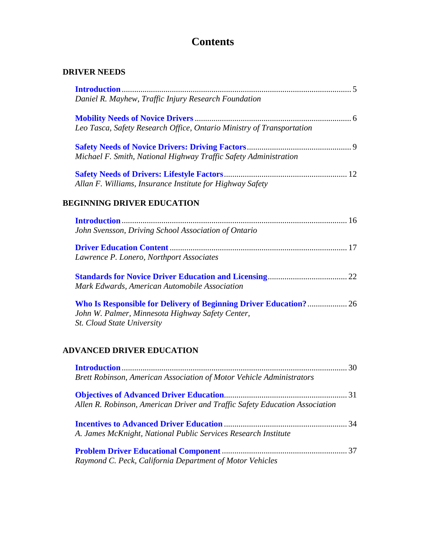# **Contents**

# **DRIVER NEEDS**

| Daniel R. Mayhew, Traffic Injury Research Foundation                        |    |
|-----------------------------------------------------------------------------|----|
|                                                                             |    |
| Leo Tasca, Safety Research Office, Ontario Ministry of Transportation       |    |
|                                                                             |    |
| Michael F. Smith, National Highway Traffic Safety Administration            |    |
|                                                                             |    |
| Allan F. Williams, Insurance Institute for Highway Safety                   |    |
| <b>BEGINNING DRIVER EDUCATION</b>                                           |    |
|                                                                             |    |
| John Svensson, Driving School Association of Ontario                        |    |
|                                                                             |    |
| Lawrence P. Lonero, Northport Associates                                    |    |
|                                                                             |    |
| Mark Edwards, American Automobile Association                               |    |
| Who Is Responsible for Delivery of Beginning Driver Education? 26           |    |
| John W. Palmer, Minnesota Highway Safety Center,                            |    |
| St. Cloud State University                                                  |    |
| <b>ADVANCED DRIVER EDUCATION</b>                                            |    |
|                                                                             |    |
| Brett Robinson, American Association of Motor Vehicle Administrators        |    |
|                                                                             | 31 |
| Allen R. Robinson, American Driver and Traffic Safety Education Association |    |
|                                                                             |    |
| A. James McKnight, National Public Services Research Institute              |    |
|                                                                             |    |
| Raymond C. Peck, California Department of Motor Vehicles                    |    |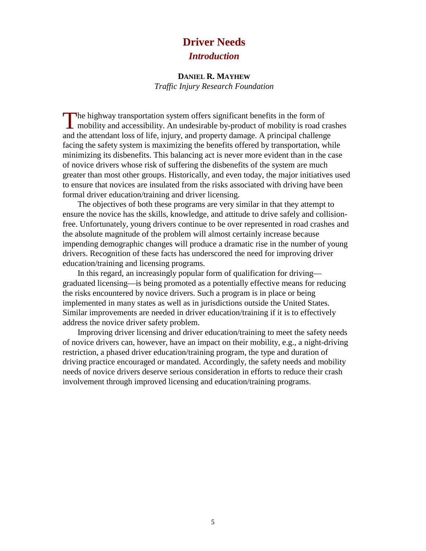# **Driver Needs**

# *Introduction*

#### **DANIEL R. MAYHEW**

*Traffic Injury Research Foundation*

The highway transportation system offers significant benefits in the form of mobility and accessibility. An undesirable by-product of mobility is road c **L** mobility and accessibility. An undesirable by-product of mobility is road crashes and the attendant loss of life, injury, and property damage. A principal challenge facing the safety system is maximizing the benefits offered by transportation, while minimizing its disbenefits. This balancing act is never more evident than in the case of novice drivers whose risk of suffering the disbenefits of the system are much greater than most other groups. Historically, and even today, the major initiatives used to ensure that novices are insulated from the risks associated with driving have been formal driver education/training and driver licensing.

The objectives of both these programs are very similar in that they attempt to ensure the novice has the skills, knowledge, and attitude to drive safely and collisionfree. Unfortunately, young drivers continue to be over represented in road crashes and the absolute magnitude of the problem will almost certainly increase because impending demographic changes will produce a dramatic rise in the number of young drivers. Recognition of these facts has underscored the need for improving driver education/training and licensing programs.

In this regard, an increasingly popular form of qualification for driving graduated licensing—is being promoted as a potentially effective means for reducing the risks encountered by novice drivers. Such a program is in place or being implemented in many states as well as in jurisdictions outside the United States. Similar improvements are needed in driver education/training if it is to effectively address the novice driver safety problem.

Improving driver licensing and driver education/training to meet the safety needs of novice drivers can, however, have an impact on their mobility, e.g., a night-driving restriction, a phased driver education/training program, the type and duration of driving practice encouraged or mandated. Accordingly, the safety needs and mobility needs of novice drivers deserve serious consideration in efforts to reduce their crash involvement through improved licensing and education/training programs.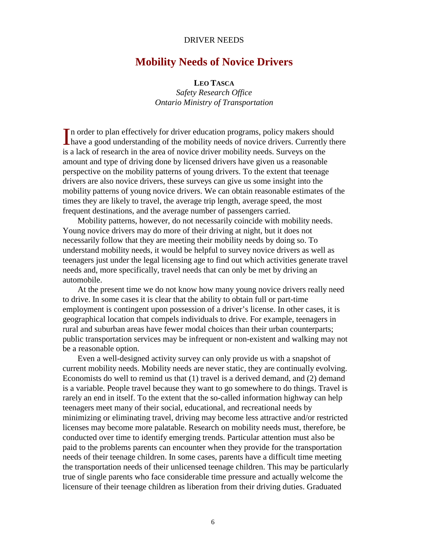#### DRIVER NEEDS

# **Mobility Needs of Novice Drivers**

#### **LEO TASCA**

*Safety Research Office Ontario Ministry of Transportation*

In order to plan effectively for driver education programs, policy makers should In order to plan effectively for driver education programs, policy makers should have a good understanding of the mobility needs of novice drivers. Currently there is a lack of research in the area of novice driver mobility needs. Surveys on the amount and type of driving done by licensed drivers have given us a reasonable perspective on the mobility patterns of young drivers. To the extent that teenage drivers are also novice drivers, these surveys can give us some insight into the mobility patterns of young novice drivers. We can obtain reasonable estimates of the times they are likely to travel, the average trip length, average speed, the most frequent destinations, and the average number of passengers carried.

Mobility patterns, however, do not necessarily coincide with mobility needs. Young novice drivers may do more of their driving at night, but it does not necessarily follow that they are meeting their mobility needs by doing so. To understand mobility needs, it would be helpful to survey novice drivers as well as teenagers just under the legal licensing age to find out which activities generate travel needs and, more specifically, travel needs that can only be met by driving an automobile.

At the present time we do not know how many young novice drivers really need to drive. In some cases it is clear that the ability to obtain full or part-time employment is contingent upon possession of a driver's license. In other cases, it is geographical location that compels individuals to drive. For example, teenagers in rural and suburban areas have fewer modal choices than their urban counterparts; public transportation services may be infrequent or non-existent and walking may not be a reasonable option.

Even a well-designed activity survey can only provide us with a snapshot of current mobility needs. Mobility needs are never static, they are continually evolving. Economists do well to remind us that (1) travel is a derived demand, and (2) demand is a variable. People travel because they want to go somewhere to do things. Travel is rarely an end in itself. To the extent that the so-called information highway can help teenagers meet many of their social, educational, and recreational needs by minimizing or eliminating travel, driving may become less attractive and/or restricted licenses may become more palatable. Research on mobility needs must, therefore, be conducted over time to identify emerging trends. Particular attention must also be paid to the problems parents can encounter when they provide for the transportation needs of their teenage children. In some cases, parents have a difficult time meeting the transportation needs of their unlicensed teenage children. This may be particularly true of single parents who face considerable time pressure and actually welcome the licensure of their teenage children as liberation from their driving duties. Graduated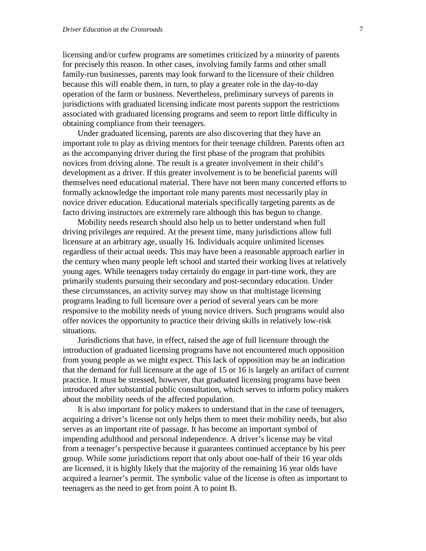licensing and/or curfew programs are sometimes criticized by a minority of parents for precisely this reason. In other cases, involving family farms and other small family-run businesses, parents may look forward to the licensure of their children because this will enable them, in turn, to play a greater role in the day-to-day operation of the farm or business. Nevertheless, preliminary surveys of parents in jurisdictions with graduated licensing indicate most parents support the restrictions associated with graduated licensing programs and seem to report little difficulty in obtaining compliance from their teenagers.

Under graduated licensing, parents are also discovering that they have an important role to play as driving mentors for their teenage children. Parents often act as the accompanying driver during the first phase of the program that prohibits novices from driving alone. The result is a greater involvement in their child's development as a driver. If this greater involvement is to be beneficial parents will themselves need educational material. There have not been many concerted efforts to formally acknowledge the important role many parents must necessarily play in novice driver education. Educational materials specifically targeting parents as de facto driving instructors are extremely rare although this has begun to change.

Mobility needs research should also help us to better understand when full driving privileges are required. At the present time, many jurisdictions allow full licensure at an arbitrary age, usually 16. Individuals acquire unlimited licenses regardless of their actual needs. This may have been a reasonable approach earlier in the century when many people left school and started their working lives at relatively young ages. While teenagers today certainly do engage in part-time work, they are primarily students pursuing their secondary and post-secondary education. Under these circumstances, an activity survey may show us that multistage licensing programs leading to full licensure over a period of several years can be more responsive to the mobility needs of young novice drivers. Such programs would also offer novices the opportunity to practice their driving skills in relatively low-risk situations.

Jurisdictions that have, in effect, raised the age of full licensure through the introduction of graduated licensing programs have not encountered much opposition from young people as we might expect. This lack of opposition may be an indication that the demand for full licensure at the age of 15 or 16 is largely an artifact of current practice. It must be stressed, however, that graduated licensing programs have been introduced after substantial public consultation, which serves to inform policy makers about the mobility needs of the affected population.

It is also important for policy makers to understand that in the case of teenagers, acquiring a driver's license not only helps them to meet their mobility needs, but also serves as an important rite of passage. It has become an important symbol of impending adulthood and personal independence. A driver's license may be vital from a teenager's perspective because it guarantees continued acceptance by his peer group. While some jurisdictions report that only about one-half of their 16 year olds are licensed, it is highly likely that the majority of the remaining 16 year olds have acquired a learner's permit. The symbolic value of the license is often as important to teenagers as the need to get from point A to point B.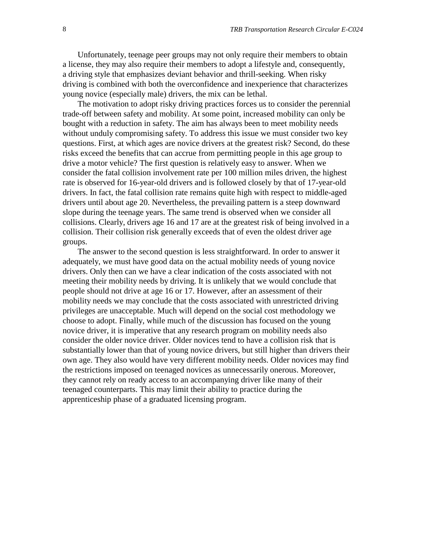Unfortunately, teenage peer groups may not only require their members to obtain a license, they may also require their members to adopt a lifestyle and, consequently, a driving style that emphasizes deviant behavior and thrill-seeking. When risky driving is combined with both the overconfidence and inexperience that characterizes young novice (especially male) drivers, the mix can be lethal.

The motivation to adopt risky driving practices forces us to consider the perennial trade-off between safety and mobility. At some point, increased mobility can only be bought with a reduction in safety. The aim has always been to meet mobility needs without unduly compromising safety. To address this issue we must consider two key questions. First, at which ages are novice drivers at the greatest risk? Second, do these risks exceed the benefits that can accrue from permitting people in this age group to drive a motor vehicle? The first question is relatively easy to answer. When we consider the fatal collision involvement rate per 100 million miles driven, the highest rate is observed for 16-year-old drivers and is followed closely by that of 17-year-old drivers. In fact, the fatal collision rate remains quite high with respect to middle-aged drivers until about age 20. Nevertheless, the prevailing pattern is a steep downward slope during the teenage years. The same trend is observed when we consider all collisions. Clearly, drivers age 16 and 17 are at the greatest risk of being involved in a collision. Their collision risk generally exceeds that of even the oldest driver age groups.

The answer to the second question is less straightforward. In order to answer it adequately, we must have good data on the actual mobility needs of young novice drivers. Only then can we have a clear indication of the costs associated with not meeting their mobility needs by driving. It is unlikely that we would conclude that people should not drive at age 16 or 17. However, after an assessment of their mobility needs we may conclude that the costs associated with unrestricted driving privileges are unacceptable. Much will depend on the social cost methodology we choose to adopt. Finally, while much of the discussion has focused on the young novice driver, it is imperative that any research program on mobility needs also consider the older novice driver. Older novices tend to have a collision risk that is substantially lower than that of young novice drivers, but still higher than drivers their own age. They also would have very different mobility needs. Older novices may find the restrictions imposed on teenaged novices as unnecessarily onerous. Moreover, they cannot rely on ready access to an accompanying driver like many of their teenaged counterparts. This may limit their ability to practice during the apprenticeship phase of a graduated licensing program.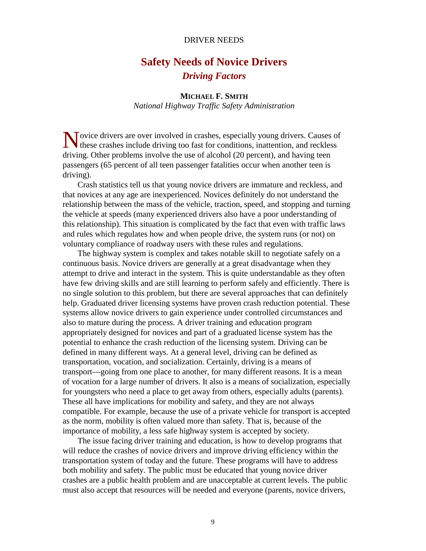#### DRIVER NEEDS

# **Safety Needs of Novice Drivers** *Driving Factors*

### **MICHAEL F. SMITH**

*National Highway Traffic Safety Administration*

Novice drivers are over involved in crashes, especially young drivers. Causes of these crashes include driving too fast for conditions, inattention, and reckless these crashes include driving too fast for conditions, inattention, and reckless driving. Other problems involve the use of alcohol (20 percent), and having teen passengers (65 percent of all teen passenger fatalities occur when another teen is driving).

Crash statistics tell us that young novice drivers are immature and reckless, and that novices at any age are inexperienced. Novices definitely do not understand the relationship between the mass of the vehicle, traction, speed, and stopping and turning the vehicle at speeds (many experienced drivers also have a poor understanding of this relationship). This situation is complicated by the fact that even with traffic laws and rules which regulates how and when people drive, the system runs (or not) on voluntary compliance of roadway users with these rules and regulations.

The highway system is complex and takes notable skill to negotiate safely on a continuous basis. Novice drivers are generally at a great disadvantage when they attempt to drive and interact in the system. This is quite understandable as they often have few driving skills and are still learning to perform safely and efficiently. There is no single solution to this problem, but there are several approaches that can definitely help. Graduated driver licensing systems have proven crash reduction potential. These systems allow novice drivers to gain experience under controlled circumstances and also to mature during the process. A driver training and education program appropriately designed for novices and part of a graduated license system has the potential to enhance the crash reduction of the licensing system. Driving can be defined in many different ways. At a general level, driving can be defined as transportation, vocation, and socialization. Certainly, driving is a means of transport—going from one place to another, for many different reasons. It is a mean of vocation for a large number of drivers. It also is a means of socialization, especially for youngsters who need a place to get away from others, especially adults (parents). These all have implications for mobility and safety, and they are not always compatible. For example, because the use of a private vehicle for transport is accepted as the norm, mobility is often valued more than safety. That is, because of the importance of mobility, a less safe highway system is accepted by society.

The issue facing driver training and education, is how to develop programs that will reduce the crashes of novice drivers and improve driving efficiency within the transportation system of today and the future. These programs will have to address both mobility and safety. The public must be educated that young novice driver crashes are a public health problem and are unacceptable at current levels. The public must also accept that resources will be needed and everyone (parents, novice drivers,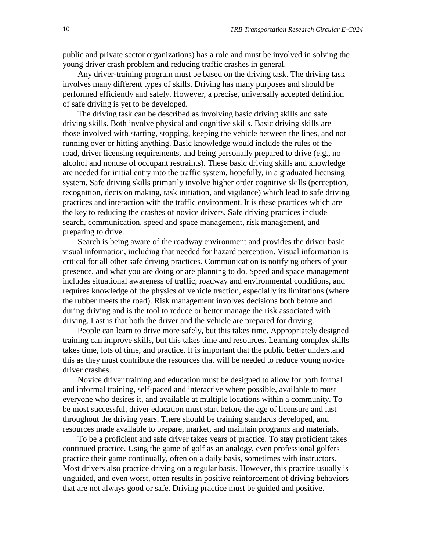public and private sector organizations) has a role and must be involved in solving the young driver crash problem and reducing traffic crashes in general.

Any driver-training program must be based on the driving task. The driving task involves many different types of skills. Driving has many purposes and should be performed efficiently and safely. However, a precise, universally accepted definition of safe driving is yet to be developed.

The driving task can be described as involving basic driving skills and safe driving skills. Both involve physical and cognitive skills. Basic driving skills are those involved with starting, stopping, keeping the vehicle between the lines, and not running over or hitting anything. Basic knowledge would include the rules of the road, driver licensing requirements, and being personally prepared to drive (e.g., no alcohol and nonuse of occupant restraints). These basic driving skills and knowledge are needed for initial entry into the traffic system, hopefully, in a graduated licensing system. Safe driving skills primarily involve higher order cognitive skills (perception, recognition, decision making, task initiation, and vigilance) which lead to safe driving practices and interaction with the traffic environment. It is these practices which are the key to reducing the crashes of novice drivers. Safe driving practices include search, communication, speed and space management, risk management, and preparing to drive.

Search is being aware of the roadway environment and provides the driver basic visual information, including that needed for hazard perception. Visual information is critical for all other safe driving practices. Communication is notifying others of your presence, and what you are doing or are planning to do. Speed and space management includes situational awareness of traffic, roadway and environmental conditions, and requires knowledge of the physics of vehicle traction, especially its limitations (where the rubber meets the road). Risk management involves decisions both before and during driving and is the tool to reduce or better manage the risk associated with driving. Last is that both the driver and the vehicle are prepared for driving.

People can learn to drive more safely, but this takes time. Appropriately designed training can improve skills, but this takes time and resources. Learning complex skills takes time, lots of time, and practice. It is important that the public better understand this as they must contribute the resources that will be needed to reduce young novice driver crashes.

Novice driver training and education must be designed to allow for both formal and informal training, self-paced and interactive where possible, available to most everyone who desires it, and available at multiple locations within a community. To be most successful, driver education must start before the age of licensure and last throughout the driving years. There should be training standards developed, and resources made available to prepare, market, and maintain programs and materials.

To be a proficient and safe driver takes years of practice. To stay proficient takes continued practice. Using the game of golf as an analogy, even professional golfers practice their game continually, often on a daily basis, sometimes with instructors. Most drivers also practice driving on a regular basis. However, this practice usually is unguided, and even worst, often results in positive reinforcement of driving behaviors that are not always good or safe. Driving practice must be guided and positive.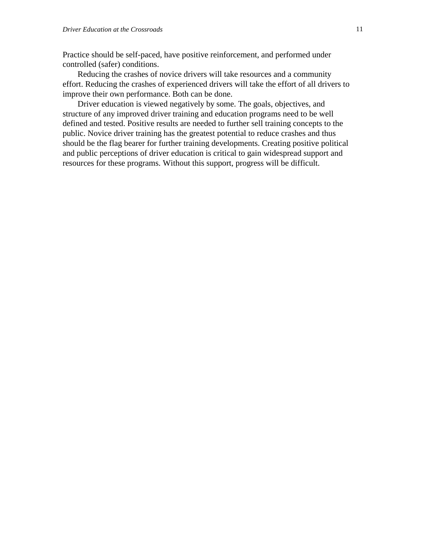Practice should be self-paced, have positive reinforcement, and performed under controlled (safer) conditions.

Reducing the crashes of novice drivers will take resources and a community effort. Reducing the crashes of experienced drivers will take the effort of all drivers to improve their own performance. Both can be done.

Driver education is viewed negatively by some. The goals, objectives, and structure of any improved driver training and education programs need to be well defined and tested. Positive results are needed to further sell training concepts to the public. Novice driver training has the greatest potential to reduce crashes and thus should be the flag bearer for further training developments. Creating positive political and public perceptions of driver education is critical to gain widespread support and resources for these programs. Without this support, progress will be difficult.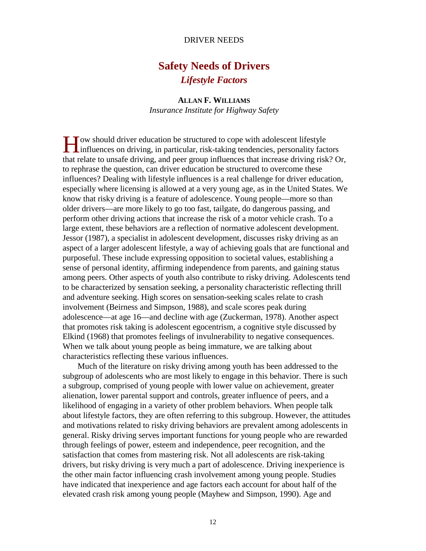#### DRIVER NEEDS

# **Safety Needs of Drivers** *Lifestyle Factors*

**ALLAN F. WILLIAMS** *Insurance Institute for Highway Safety*

ow should driver education be structured to cope with adolescent lifestyle I ow should driver education be structured to cope with adolescent lifestyle<br>influences on driving, in particular, risk-taking tendencies, personality factors that relate to unsafe driving, and peer group influences that increase driving risk? Or, to rephrase the question, can driver education be structured to overcome these influences? Dealing with lifestyle influences is a real challenge for driver education, especially where licensing is allowed at a very young age, as in the United States. We know that risky driving is a feature of adolescence. Young people—more so than older drivers—are more likely to go too fast, tailgate, do dangerous passing, and perform other driving actions that increase the risk of a motor vehicle crash. To a large extent, these behaviors are a reflection of normative adolescent development. Jessor (1987), a specialist in adolescent development, discusses risky driving as an aspect of a larger adolescent lifestyle, a way of achieving goals that are functional and purposeful. These include expressing opposition to societal values, establishing a sense of personal identity, affirming independence from parents, and gaining status among peers. Other aspects of youth also contribute to risky driving. Adolescents tend to be characterized by sensation seeking, a personality characteristic reflecting thrill and adventure seeking. High scores on sensation-seeking scales relate to crash involvement (Beirness and Simpson, 1988), and scale scores peak during adolescence—at age 16—and decline with age (Zuckerman, 1978). Another aspect that promotes risk taking is adolescent egocentrism, a cognitive style discussed by Elkind (1968) that promotes feelings of invulnerability to negative consequences. When we talk about young people as being immature, we are talking about characteristics reflecting these various influences.

Much of the literature on risky driving among youth has been addressed to the subgroup of adolescents who are most likely to engage in this behavior. There is such a subgroup, comprised of young people with lower value on achievement, greater alienation, lower parental support and controls, greater influence of peers, and a likelihood of engaging in a variety of other problem behaviors. When people talk about lifestyle factors, they are often referring to this subgroup. However, the attitudes and motivations related to risky driving behaviors are prevalent among adolescents in general. Risky driving serves important functions for young people who are rewarded through feelings of power, esteem and independence, peer recognition, and the satisfaction that comes from mastering risk. Not all adolescents are risk-taking drivers, but risky driving is very much a part of adolescence. Driving inexperience is the other main factor influencing crash involvement among young people. Studies have indicated that inexperience and age factors each account for about half of the elevated crash risk among young people (Mayhew and Simpson, 1990). Age and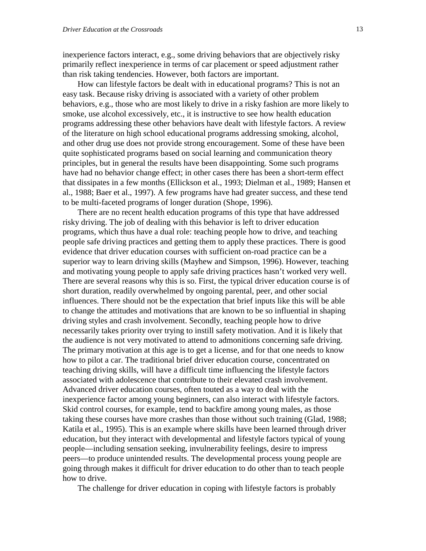inexperience factors interact, e.g., some driving behaviors that are objectively risky primarily reflect inexperience in terms of car placement or speed adjustment rather than risk taking tendencies. However, both factors are important.

How can lifestyle factors be dealt with in educational programs? This is not an easy task. Because risky driving is associated with a variety of other problem behaviors, e.g., those who are most likely to drive in a risky fashion are more likely to smoke, use alcohol excessively, etc., it is instructive to see how health education programs addressing these other behaviors have dealt with lifestyle factors. A review of the literature on high school educational programs addressing smoking, alcohol, and other drug use does not provide strong encouragement. Some of these have been quite sophisticated programs based on social learning and communication theory principles, but in general the results have been disappointing. Some such programs have had no behavior change effect; in other cases there has been a short-term effect that dissipates in a few months (Ellickson et al., 1993; Dielman et al., 1989; Hansen et al., 1988; Baer et al., 1997). A few programs have had greater success, and these tend to be multi-faceted programs of longer duration (Shope, 1996).

There are no recent health education programs of this type that have addressed risky driving. The job of dealing with this behavior is left to driver education programs, which thus have a dual role: teaching people how to drive, and teaching people safe driving practices and getting them to apply these practices. There is good evidence that driver education courses with sufficient on-road practice can be a superior way to learn driving skills (Mayhew and Simpson, 1996). However, teaching and motivating young people to apply safe driving practices hasn't worked very well. There are several reasons why this is so. First, the typical driver education course is of short duration, readily overwhelmed by ongoing parental, peer, and other social influences. There should not be the expectation that brief inputs like this will be able to change the attitudes and motivations that are known to be so influential in shaping driving styles and crash involvement. Secondly, teaching people how to drive necessarily takes priority over trying to instill safety motivation. And it is likely that the audience is not very motivated to attend to admonitions concerning safe driving. The primary motivation at this age is to get a license, and for that one needs to know how to pilot a car. The traditional brief driver education course, concentrated on teaching driving skills, will have a difficult time influencing the lifestyle factors associated with adolescence that contribute to their elevated crash involvement. Advanced driver education courses, often touted as a way to deal with the inexperience factor among young beginners, can also interact with lifestyle factors. Skid control courses, for example, tend to backfire among young males, as those taking these courses have more crashes than those without such training (Glad, 1988; Katila et al., 1995). This is an example where skills have been learned through driver education, but they interact with developmental and lifestyle factors typical of young people—including sensation seeking, invulnerability feelings, desire to impress peers—to produce unintended results. The developmental process young people are going through makes it difficult for driver education to do other than to teach people how to drive.

The challenge for driver education in coping with lifestyle factors is probably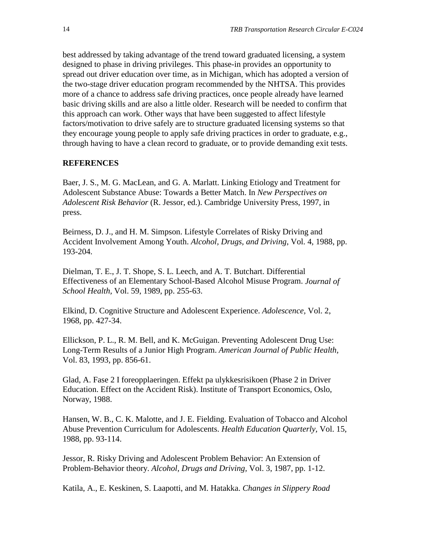best addressed by taking advantage of the trend toward graduated licensing, a system designed to phase in driving privileges. This phase-in provides an opportunity to spread out driver education over time, as in Michigan, which has adopted a version of the two-stage driver education program recommended by the NHTSA. This provides more of a chance to address safe driving practices, once people already have learned basic driving skills and are also a little older. Research will be needed to confirm that this approach can work. Other ways that have been suggested to affect lifestyle factors/motivation to drive safely are to structure graduated licensing systems so that they encourage young people to apply safe driving practices in order to graduate, e.g., through having to have a clean record to graduate, or to provide demanding exit tests.

#### **REFERENCES**

Baer, J. S., M. G. MacLean, and G. A. Marlatt. Linking Etiology and Treatment for Adolescent Substance Abuse: Towards a Better Match. In *New Perspectives on Adolescent Risk Behavior* (R. Jessor, ed.). Cambridge University Press, 1997, in press.

Beirness, D. J., and H. M. Simpson. Lifestyle Correlates of Risky Driving and Accident Involvement Among Youth. *Alcohol, Drugs, and Driving*, Vol. 4, 1988, pp. 193-204.

Dielman, T. E., J. T. Shope, S. L. Leech, and A. T. Butchart. Differential Effectiveness of an Elementary School-Based Alcohol Misuse Program. *Journal of School Health,* Vol. 59, 1989, pp. 255-63.

Elkind, D. Cognitive Structure and Adolescent Experience. *Adolescence,* Vol. 2, 1968, pp. 427-34.

Ellickson, P. L., R. M. Bell, and K. McGuigan. Preventing Adolescent Drug Use: Long-Term Results of a Junior High Program. *American Journal of Public Health,* Vol. 83, 1993, pp. 856-61.

Glad, A. Fase 2 I foreopplaeringen. Effekt pa ulykkesrisikoen (Phase 2 in Driver Education. Effect on the Accident Risk). Institute of Transport Economics, Oslo, Norway, 1988.

Hansen, W. B., C. K. Malotte, and J. E. Fielding. Evaluation of Tobacco and Alcohol Abuse Prevention Curriculum for Adolescents. *Health Education Quarterly,* Vol. 15, 1988, pp. 93-114.

Jessor, R. Risky Driving and Adolescent Problem Behavior: An Extension of Problem-Behavior theory. *Alcohol, Drugs and Driving,* Vol. 3, 1987, pp. 1-12.

Katila, A., E. Keskinen, S. Laapotti, and M. Hatakka. *Changes in Slippery Road*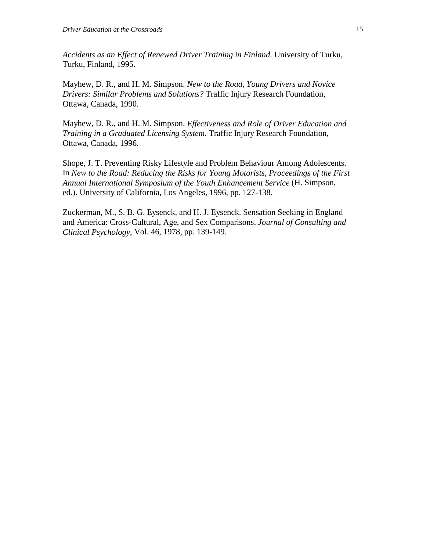*Accidents as an Effect of Renewed Driver Training in Finland.* University of Turku, Turku, Finland, 1995.

Mayhew, D. R., and H. M. Simpson. *New to the Road, Young Drivers and Novice Drivers: Similar Problems and Solutions?* Traffic Injury Research Foundation, Ottawa, Canada, 1990.

Mayhew, D. R., and H. M. Simpson. *Effectiveness and Role of Driver Education and Training in a Graduated Licensing System.* Traffic Injury Research Foundation, Ottawa, Canada, 1996.

Shope, J. T. Preventing Risky Lifestyle and Problem Behaviour Among Adolescents. In *New to the Road: Reducing the Risks for Young Motorists, Proceedings of the First Annual International Symposium of the Youth Enhancement Service* (H. Simpson, ed.). University of California, Los Angeles, 1996, pp. 127-138.

Zuckerman, M., S. B. G. Eysenck, and H. J. Eysenck. Sensation Seeking in England and America: Cross-Cultural, Age, and Sex Comparisons. *Journal of Consulting and Clinical Psychology,* Vol. 46, 1978, pp. 139-149.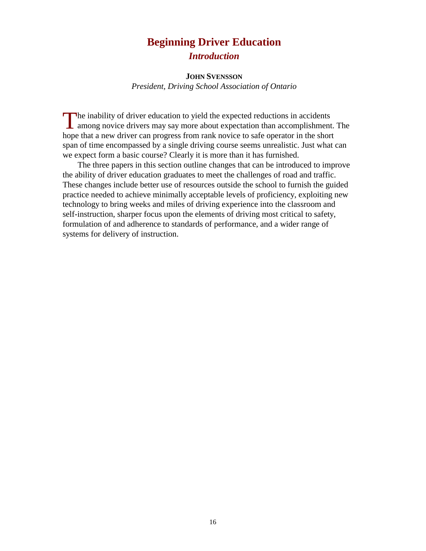# **Beginning Driver Education** *Introduction*

#### **JOHN SVENSSON**

*President, Driving School Association of Ontario*

The inability of driver education to yield the expected reductions in accidents<br>among novice drivers may say more about expectation than accomplishmen **L** among novice drivers may say more about expectation than accomplishment. The hope that a new driver can progress from rank novice to safe operator in the short span of time encompassed by a single driving course seems unrealistic. Just what can we expect form a basic course? Clearly it is more than it has furnished.

The three papers in this section outline changes that can be introduced to improve the ability of driver education graduates to meet the challenges of road and traffic. These changes include better use of resources outside the school to furnish the guided practice needed to achieve minimally acceptable levels of proficiency, exploiting new technology to bring weeks and miles of driving experience into the classroom and self-instruction, sharper focus upon the elements of driving most critical to safety, formulation of and adherence to standards of performance, and a wider range of systems for delivery of instruction.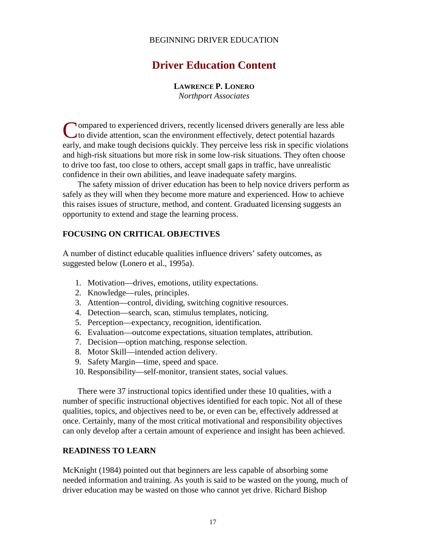## BEGINNING DRIVER EDUCATION

# **Driver Education Content**

#### **LAWRENCE P. LONERO**

*Northport Associates*

**Nompared to experienced drivers, recently licensed drivers generally are less able** Compared to experienced drivers, recently licensed drivers generally are less a to divide attention, scan the environment effectively, detect potential hazards early, and make tough decisions quickly. They perceive less risk in specific violations and high-risk situations but more risk in some low-risk situations. They often choose to drive too fast, too close to others, accept small gaps in traffic, have unrealistic confidence in their own abilities, and leave inadequate safety margins.

The safety mission of driver education has been to help novice drivers perform as safely as they will when they become more mature and experienced. How to achieve this raises issues of structure, method, and content. Graduated licensing suggests an opportunity to extend and stage the learning process.

### **FOCUSING ON CRITICAL OBJECTIVES**

A number of distinct educable qualities influence drivers' safety outcomes, as suggested below (Lonero et al., 1995a).

- 1. Motivation—drives, emotions, utility expectations.
- 2. Knowledge—rules, principles.
- 3. Attention—control, dividing, switching cognitive resources.
- 4. Detection—search, scan, stimulus templates, noticing.
- 5. Perception—expectancy, recognition, identification.
- 6. Evaluation—outcome expectations, situation templates, attribution.
- 7. Decision—option matching, response selection.
- 8. Motor Skill—intended action delivery.
- 9. Safety Margin—time, speed and space.
- 10. Responsibility—self-monitor, transient states, social values.

There were 37 instructional topics identified under these 10 qualities, with a number of specific instructional objectives identified for each topic. Not all of these qualities, topics, and objectives need to be, or even can be, effectively addressed at once. Certainly, many of the most critical motivational and responsibility objectives can only develop after a certain amount of experience and insight has been achieved.

#### **READINESS TO LEARN**

McKnight (1984) pointed out that beginners are less capable of absorbing some needed information and training. As youth is said to be wasted on the young, much of driver education may be wasted on those who cannot yet drive. Richard Bishop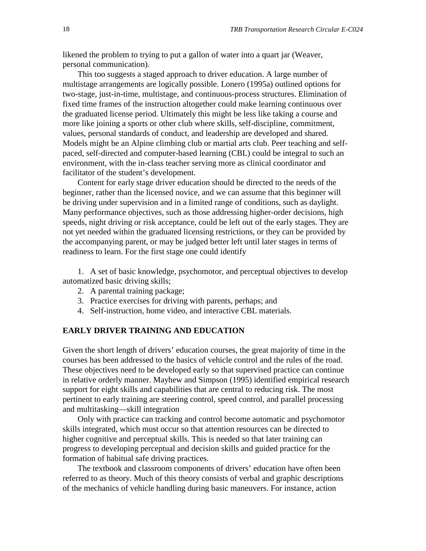likened the problem to trying to put a gallon of water into a quart jar (Weaver, personal communication).

This too suggests a staged approach to driver education. A large number of multistage arrangements are logically possible. Lonero (1995a) outlined options for two-stage, just-in-time, multistage, and continuous-process structures. Elimination of fixed time frames of the instruction altogether could make learning continuous over the graduated license period. Ultimately this might be less like taking a course and more like joining a sports or other club where skills, self-discipline, commitment, values, personal standards of conduct, and leadership are developed and shared. Models might be an Alpine climbing club or martial arts club. Peer teaching and selfpaced, self-directed and computer-based learning (CBL) could be integral to such an environment, with the in-class teacher serving more as clinical coordinator and facilitator of the student's development.

Content for early stage driver education should be directed to the needs of the beginner, rather than the licensed novice, and we can assume that this beginner will be driving under supervision and in a limited range of conditions, such as daylight. Many performance objectives, such as those addressing higher-order decisions, high speeds, night driving or risk acceptance, could be left out of the early stages. They are not yet needed within the graduated licensing restrictions, or they can be provided by the accompanying parent, or may be judged better left until later stages in terms of readiness to learn. For the first stage one could identify

1. A set of basic knowledge, psychomotor, and perceptual objectives to develop automatized basic driving skills;

- 2. A parental training package;
- 3. Practice exercises for driving with parents, perhaps; and
- 4. Self-instruction, home video, and interactive CBL materials.

#### **EARLY DRIVER TRAINING AND EDUCATION**

Given the short length of drivers' education courses, the great majority of time in the courses has been addressed to the basics of vehicle control and the rules of the road. These objectives need to be developed early so that supervised practice can continue in relative orderly manner. Mayhew and Simpson (1995) identified empirical research support for eight skills and capabilities that are central to reducing risk. The most pertinent to early training are steering control, speed control, and parallel processing and multitasking—skill integration

Only with practice can tracking and control become automatic and psychomotor skills integrated, which must occur so that attention resources can be directed to higher cognitive and perceptual skills. This is needed so that later training can progress to developing perceptual and decision skills and guided practice for the formation of habitual safe driving practices.

The textbook and classroom components of drivers' education have often been referred to as theory. Much of this theory consists of verbal and graphic descriptions of the mechanics of vehicle handling during basic maneuvers. For instance, action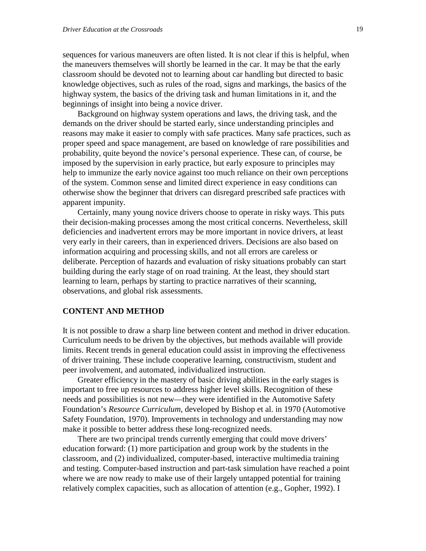sequences for various maneuvers are often listed. It is not clear if this is helpful, when the maneuvers themselves will shortly be learned in the car. It may be that the early classroom should be devoted not to learning about car handling but directed to basic knowledge objectives, such as rules of the road, signs and markings, the basics of the highway system, the basics of the driving task and human limitations in it, and the beginnings of insight into being a novice driver.

Background on highway system operations and laws, the driving task, and the demands on the driver should be started early, since understanding principles and reasons may make it easier to comply with safe practices. Many safe practices, such as proper speed and space management, are based on knowledge of rare possibilities and probability, quite beyond the novice's personal experience. These can, of course, be imposed by the supervision in early practice, but early exposure to principles may help to immunize the early novice against too much reliance on their own perceptions of the system. Common sense and limited direct experience in easy conditions can otherwise show the beginner that drivers can disregard prescribed safe practices with apparent impunity.

Certainly, many young novice drivers choose to operate in risky ways. This puts their decision-making processes among the most critical concerns. Nevertheless, skill deficiencies and inadvertent errors may be more important in novice drivers, at least very early in their careers, than in experienced drivers. Decisions are also based on information acquiring and processing skills, and not all errors are careless or deliberate. Perception of hazards and evaluation of risky situations probably can start building during the early stage of on road training. At the least, they should start learning to learn, perhaps by starting to practice narratives of their scanning, observations, and global risk assessments.

#### **CONTENT AND METHOD**

It is not possible to draw a sharp line between content and method in driver education. Curriculum needs to be driven by the objectives, but methods available will provide limits. Recent trends in general education could assist in improving the effectiveness of driver training. These include cooperative learning, constructivism, student and peer involvement, and automated, individualized instruction.

Greater efficiency in the mastery of basic driving abilities in the early stages is important to free up resources to address higher level skills. Recognition of these needs and possibilities is not new—they were identified in the Automotive Safety Foundation's *Resource Curriculum*, developed by Bishop et al. in 1970 (Automotive Safety Foundation, 1970). Improvements in technology and understanding may now make it possible to better address these long-recognized needs.

There are two principal trends currently emerging that could move drivers' education forward: (1) more participation and group work by the students in the classroom, and (2) individualized, computer-based, interactive multimedia training and testing. Computer-based instruction and part-task simulation have reached a point where we are now ready to make use of their largely untapped potential for training relatively complex capacities, such as allocation of attention (e.g., Gopher, 1992). I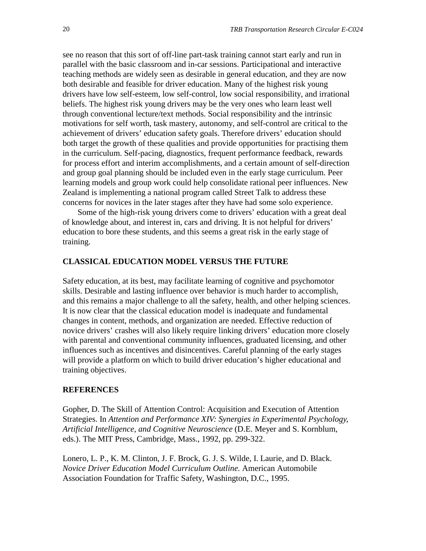see no reason that this sort of off-line part-task training cannot start early and run in parallel with the basic classroom and in-car sessions. Participational and interactive teaching methods are widely seen as desirable in general education, and they are now both desirable and feasible for driver education. Many of the highest risk young drivers have low self-esteem, low self-control, low social responsibility, and irrational beliefs. The highest risk young drivers may be the very ones who learn least well through conventional lecture/text methods. Social responsibility and the intrinsic motivations for self worth, task mastery, autonomy, and self-control are critical to the achievement of drivers' education safety goals. Therefore drivers' education should both target the growth of these qualities and provide opportunities for practising them in the curriculum. Self-pacing, diagnostics, frequent performance feedback, rewards for process effort and interim accomplishments, and a certain amount of self-direction and group goal planning should be included even in the early stage curriculum. Peer learning models and group work could help consolidate rational peer influences. New Zealand is implementing a national program called Street Talk to address these concerns for novices in the later stages after they have had some solo experience.

Some of the high-risk young drivers come to drivers' education with a great deal of knowledge about, and interest in, cars and driving. It is not helpful for drivers' education to bore these students, and this seems a great risk in the early stage of training.

#### **CLASSICAL EDUCATION MODEL VERSUS THE FUTURE**

Safety education, at its best, may facilitate learning of cognitive and psychomotor skills. Desirable and lasting influence over behavior is much harder to accomplish, and this remains a major challenge to all the safety, health, and other helping sciences. It is now clear that the classical education model is inadequate and fundamental changes in content, methods, and organization are needed. Effective reduction of novice drivers' crashes will also likely require linking drivers' education more closely with parental and conventional community influences, graduated licensing, and other influences such as incentives and disincentives. Careful planning of the early stages will provide a platform on which to build driver education's higher educational and training objectives.

#### **REFERENCES**

Gopher, D. The Skill of Attention Control: Acquisition and Execution of Attention Strategies. In *Attention and Performance XIV: Synergies in Experimental Psychology, Artificial Intelligence, and Cognitive Neuroscience* (D.E. Meyer and S. Kornblum, eds.). The MIT Press, Cambridge, Mass., 1992, pp. 299-322.

Lonero, L. P., K. M. Clinton, J. F. Brock, G. J. S. Wilde, I. Laurie, and D. Black. *Novice Driver Education Model Curriculum Outline.* American Automobile Association Foundation for Traffic Safety, Washington, D.C., 1995.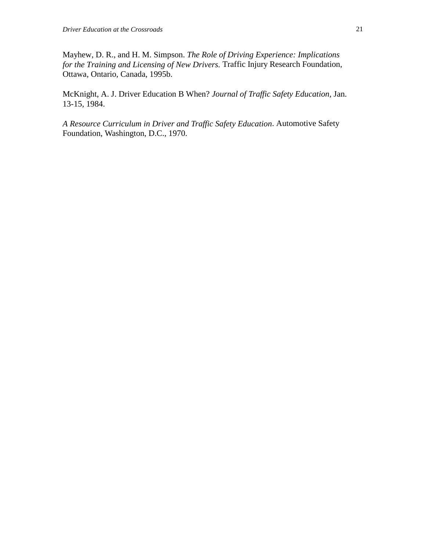Mayhew, D. R., and H. M. Simpson. *The Role of Driving Experience: Implications for the Training and Licensing of New Drivers.* Traffic Injury Research Foundation, Ottawa, Ontario, Canada, 1995b.

McKnight, A. J. Driver Education B When? *Journal of Traffic Safety Education,* Jan. 13-15, 1984.

*A Resource Curriculum in Driver and Traffic Safety Education*. Automotive Safety Foundation, Washington, D.C., 1970.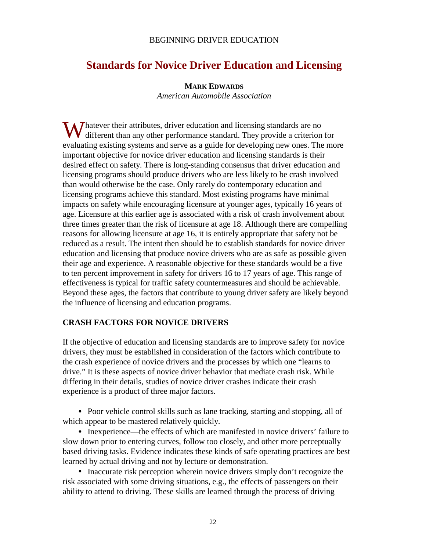## BEGINNING DRIVER EDUCATION

# **Standards for Novice Driver Education and Licensing**

#### **MARK EDWARDS**

*American Automobile Association*

Whatever their attributes, driver education and licensing standards are no<br>different than any other performance standard. They provide a criterion different than any other performance standard. They provide a criterion for evaluating existing systems and serve as a guide for developing new ones. The more important objective for novice driver education and licensing standards is their desired effect on safety. There is long-standing consensus that driver education and licensing programs should produce drivers who are less likely to be crash involved than would otherwise be the case. Only rarely do contemporary education and licensing programs achieve this standard. Most existing programs have minimal impacts on safety while encouraging licensure at younger ages, typically 16 years of age. Licensure at this earlier age is associated with a risk of crash involvement about three times greater than the risk of licensure at age 18. Although there are compelling reasons for allowing licensure at age 16, it is entirely appropriate that safety not be reduced as a result. The intent then should be to establish standards for novice driver education and licensing that produce novice drivers who are as safe as possible given their age and experience. A reasonable objective for these standards would be a five to ten percent improvement in safety for drivers 16 to 17 years of age. This range of effectiveness is typical for traffic safety countermeasures and should be achievable. Beyond these ages, the factors that contribute to young driver safety are likely beyond the influence of licensing and education programs.

# **CRASH FACTORS FOR NOVICE DRIVERS**

If the objective of education and licensing standards are to improve safety for novice drivers, they must be established in consideration of the factors which contribute to the crash experience of novice drivers and the processes by which one "learns to drive." It is these aspects of novice driver behavior that mediate crash risk. While differing in their details, studies of novice driver crashes indicate their crash experience is a product of three major factors.

• Poor vehicle control skills such as lane tracking, starting and stopping, all of which appear to be mastered relatively quickly.

• Inexperience—the effects of which are manifested in novice drivers' failure to slow down prior to entering curves, follow too closely, and other more perceptually based driving tasks. Evidence indicates these kinds of safe operating practices are best learned by actual driving and not by lecture or demonstration.

• Inaccurate risk perception wherein novice drivers simply don't recognize the risk associated with some driving situations, e.g., the effects of passengers on their ability to attend to driving. These skills are learned through the process of driving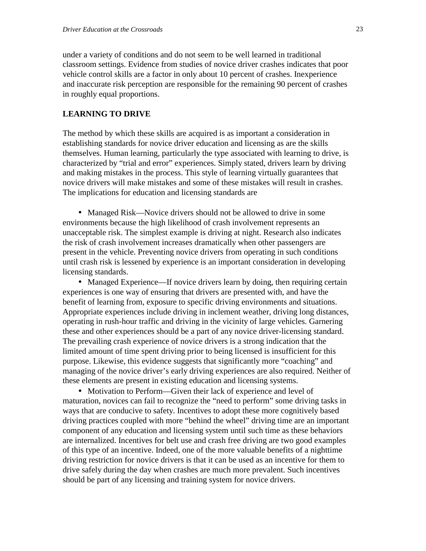under a variety of conditions and do not seem to be well learned in traditional classroom settings. Evidence from studies of novice driver crashes indicates that poor vehicle control skills are a factor in only about 10 percent of crashes. Inexperience and inaccurate risk perception are responsible for the remaining 90 percent of crashes in roughly equal proportions.

### **LEARNING TO DRIVE**

The method by which these skills are acquired is as important a consideration in establishing standards for novice driver education and licensing as are the skills themselves. Human learning, particularly the type associated with learning to drive, is characterized by "trial and error" experiences. Simply stated, drivers learn by driving and making mistakes in the process. This style of learning virtually guarantees that novice drivers will make mistakes and some of these mistakes will result in crashes. The implications for education and licensing standards are

• Managed Risk—Novice drivers should not be allowed to drive in some environments because the high likelihood of crash involvement represents an unacceptable risk. The simplest example is driving at night. Research also indicates the risk of crash involvement increases dramatically when other passengers are present in the vehicle. Preventing novice drivers from operating in such conditions until crash risk is lessened by experience is an important consideration in developing licensing standards.

• Managed Experience—If novice drivers learn by doing, then requiring certain experiences is one way of ensuring that drivers are presented with, and have the benefit of learning from, exposure to specific driving environments and situations. Appropriate experiences include driving in inclement weather, driving long distances, operating in rush-hour traffic and driving in the vicinity of large vehicles. Garnering these and other experiences should be a part of any novice driver-licensing standard. The prevailing crash experience of novice drivers is a strong indication that the limited amount of time spent driving prior to being licensed is insufficient for this purpose. Likewise, this evidence suggests that significantly more "coaching" and managing of the novice driver's early driving experiences are also required. Neither of these elements are present in existing education and licensing systems.

• Motivation to Perform—Given their lack of experience and level of maturation, novices can fail to recognize the "need to perform" some driving tasks in ways that are conducive to safety. Incentives to adopt these more cognitively based driving practices coupled with more "behind the wheel" driving time are an important component of any education and licensing system until such time as these behaviors are internalized. Incentives for belt use and crash free driving are two good examples of this type of an incentive. Indeed, one of the more valuable benefits of a nighttime driving restriction for novice drivers is that it can be used as an incentive for them to drive safely during the day when crashes are much more prevalent. Such incentives should be part of any licensing and training system for novice drivers.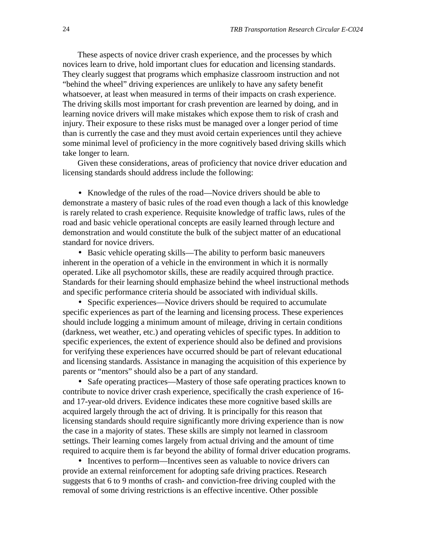These aspects of novice driver crash experience, and the processes by which novices learn to drive, hold important clues for education and licensing standards. They clearly suggest that programs which emphasize classroom instruction and not "behind the wheel" driving experiences are unlikely to have any safety benefit whatsoever, at least when measured in terms of their impacts on crash experience. The driving skills most important for crash prevention are learned by doing, and in learning novice drivers will make mistakes which expose them to risk of crash and injury. Their exposure to these risks must be managed over a longer period of time than is currently the case and they must avoid certain experiences until they achieve some minimal level of proficiency in the more cognitively based driving skills which take longer to learn.

Given these considerations, areas of proficiency that novice driver education and licensing standards should address include the following:

• Knowledge of the rules of the road—Novice drivers should be able to demonstrate a mastery of basic rules of the road even though a lack of this knowledge is rarely related to crash experience. Requisite knowledge of traffic laws, rules of the road and basic vehicle operational concepts are easily learned through lecture and demonstration and would constitute the bulk of the subject matter of an educational standard for novice drivers.

• Basic vehicle operating skills—The ability to perform basic maneuvers inherent in the operation of a vehicle in the environment in which it is normally operated. Like all psychomotor skills, these are readily acquired through practice. Standards for their learning should emphasize behind the wheel instructional methods and specific performance criteria should be associated with individual skills.

• Specific experiences—Novice drivers should be required to accumulate specific experiences as part of the learning and licensing process. These experiences should include logging a minimum amount of mileage, driving in certain conditions (darkness, wet weather, etc.) and operating vehicles of specific types. In addition to specific experiences, the extent of experience should also be defined and provisions for verifying these experiences have occurred should be part of relevant educational and licensing standards. Assistance in managing the acquisition of this experience by parents or "mentors" should also be a part of any standard.

• Safe operating practices—Mastery of those safe operating practices known to contribute to novice driver crash experience, specifically the crash experience of 16 and 17-year-old drivers. Evidence indicates these more cognitive based skills are acquired largely through the act of driving. It is principally for this reason that licensing standards should require significantly more driving experience than is now the case in a majority of states. These skills are simply not learned in classroom settings. Their learning comes largely from actual driving and the amount of time required to acquire them is far beyond the ability of formal driver education programs.

• Incentives to perform—Incentives seen as valuable to novice drivers can provide an external reinforcement for adopting safe driving practices. Research suggests that 6 to 9 months of crash- and conviction-free driving coupled with the removal of some driving restrictions is an effective incentive. Other possible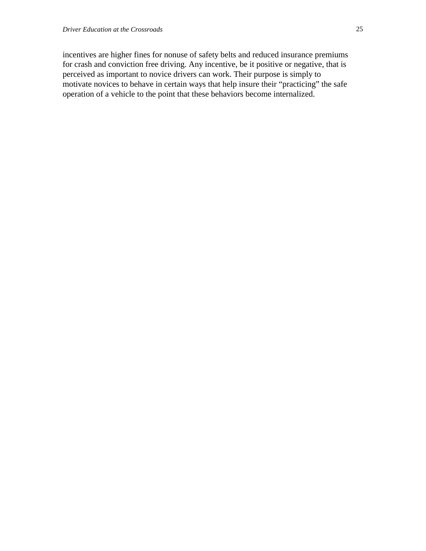incentives are higher fines for nonuse of safety belts and reduced insurance premiums for crash and conviction free driving. Any incentive, be it positive or negative, that is perceived as important to novice drivers can work. Their purpose is simply to motivate novices to behave in certain ways that help insure their "practicing" the safe operation of a vehicle to the point that these behaviors become internalized.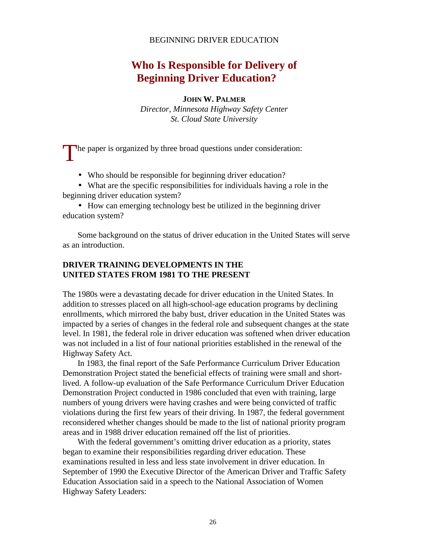#### BEGINNING DRIVER EDUCATION

# **Who Is Responsible for Delivery of Beginning Driver Education?**

**JOHN W. PALMER**

*Director, Minnesota Highway Safety Center St. Cloud State University*

The paper is organized by three broad questions under consideration:

• Who should be responsible for beginning driver education?

• What are the specific responsibilities for individuals having a role in the beginning driver education system?

• How can emerging technology best be utilized in the beginning driver education system?

Some background on the status of driver education in the United States will serve as an introduction.

# **DRIVER TRAINING DEVELOPMENTS IN THE UNITED STATES FROM 1981 TO THE PRESENT**

The 1980s were a devastating decade for driver education in the United States. In addition to stresses placed on all high-school-age education programs by declining enrollments, which mirrored the baby bust, driver education in the United States was impacted by a series of changes in the federal role and subsequent changes at the state level. In 1981, the federal role in driver education was softened when driver education was not included in a list of four national priorities established in the renewal of the Highway Safety Act.

In 1983, the final report of the Safe Performance Curriculum Driver Education Demonstration Project stated the beneficial effects of training were small and shortlived. A follow-up evaluation of the Safe Performance Curriculum Driver Education Demonstration Project conducted in 1986 concluded that even with training, large numbers of young drivers were having crashes and were being convicted of traffic violations during the first few years of their driving. In 1987, the federal government reconsidered whether changes should be made to the list of national priority program areas and in 1988 driver education remained off the list of priorities.

With the federal government's omitting driver education as a priority, states began to examine their responsibilities regarding driver education. These examinations resulted in less and less state involvement in driver education. In September of 1990 the Executive Director of the American Driver and Traffic Safety Education Association said in a speech to the National Association of Women Highway Safety Leaders: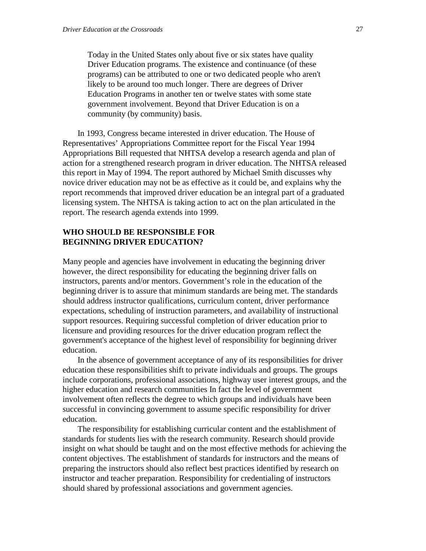Today in the United States only about five or six states have quality Driver Education programs. The existence and continuance (of these programs) can be attributed to one or two dedicated people who aren't likely to be around too much longer. There are degrees of Driver Education Programs in another ten or twelve states with some state government involvement. Beyond that Driver Education is on a community (by community) basis.

In 1993, Congress became interested in driver education. The House of Representatives' Appropriations Committee report for the Fiscal Year 1994 Appropriations Bill requested that NHTSA develop a research agenda and plan of action for a strengthened research program in driver education. The NHTSA released this report in May of 1994. The report authored by Michael Smith discusses why novice driver education may not be as effective as it could be, and explains why the report recommends that improved driver education be an integral part of a graduated licensing system. The NHTSA is taking action to act on the plan articulated in the report. The research agenda extends into 1999.

# **WHO SHOULD BE RESPONSIBLE FOR BEGINNING DRIVER EDUCATION?**

Many people and agencies have involvement in educating the beginning driver however, the direct responsibility for educating the beginning driver falls on instructors, parents and/or mentors. Government's role in the education of the beginning driver is to assure that minimum standards are being met. The standards should address instructor qualifications, curriculum content, driver performance expectations, scheduling of instruction parameters, and availability of instructional support resources. Requiring successful completion of driver education prior to licensure and providing resources for the driver education program reflect the government's acceptance of the highest level of responsibility for beginning driver education.

In the absence of government acceptance of any of its responsibilities for driver education these responsibilities shift to private individuals and groups. The groups include corporations, professional associations, highway user interest groups, and the higher education and research communities In fact the level of government involvement often reflects the degree to which groups and individuals have been successful in convincing government to assume specific responsibility for driver education.

The responsibility for establishing curricular content and the establishment of standards for students lies with the research community. Research should provide insight on what should be taught and on the most effective methods for achieving the content objectives. The establishment of standards for instructors and the means of preparing the instructors should also reflect best practices identified by research on instructor and teacher preparation. Responsibility for credentialing of instructors should shared by professional associations and government agencies.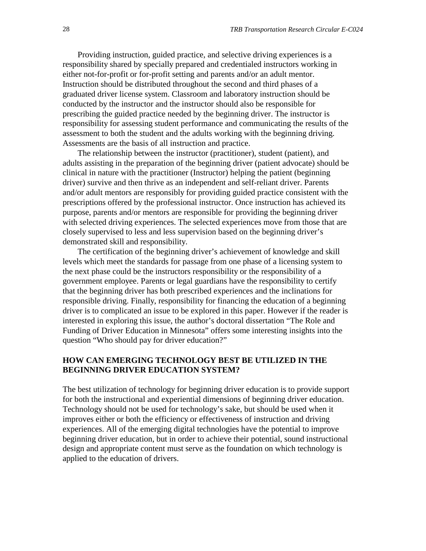Providing instruction, guided practice, and selective driving experiences is a responsibility shared by specially prepared and credentialed instructors working in either not-for-profit or for-profit setting and parents and/or an adult mentor. Instruction should be distributed throughout the second and third phases of a graduated driver license system. Classroom and laboratory instruction should be conducted by the instructor and the instructor should also be responsible for prescribing the guided practice needed by the beginning driver. The instructor is responsibility for assessing student performance and communicating the results of the assessment to both the student and the adults working with the beginning driving. Assessments are the basis of all instruction and practice.

The relationship between the instructor (practitioner), student (patient), and adults assisting in the preparation of the beginning driver (patient advocate) should be clinical in nature with the practitioner (Instructor) helping the patient (beginning driver) survive and then thrive as an independent and self-reliant driver. Parents and/or adult mentors are responsibly for providing guided practice consistent with the prescriptions offered by the professional instructor. Once instruction has achieved its purpose, parents and/or mentors are responsible for providing the beginning driver with selected driving experiences. The selected experiences move from those that are closely supervised to less and less supervision based on the beginning driver's demonstrated skill and responsibility.

The certification of the beginning driver's achievement of knowledge and skill levels which meet the standards for passage from one phase of a licensing system to the next phase could be the instructors responsibility or the responsibility of a government employee. Parents or legal guardians have the responsibility to certify that the beginning driver has both prescribed experiences and the inclinations for responsible driving. Finally, responsibility for financing the education of a beginning driver is to complicated an issue to be explored in this paper. However if the reader is interested in exploring this issue, the author's doctoral dissertation "The Role and Funding of Driver Education in Minnesota" offers some interesting insights into the question "Who should pay for driver education?"

## **HOW CAN EMERGING TECHNOLOGY BEST BE UTILIZED IN THE BEGINNING DRIVER EDUCATION SYSTEM?**

The best utilization of technology for beginning driver education is to provide support for both the instructional and experiential dimensions of beginning driver education. Technology should not be used for technology's sake, but should be used when it improves either or both the efficiency or effectiveness of instruction and driving experiences. All of the emerging digital technologies have the potential to improve beginning driver education, but in order to achieve their potential, sound instructional design and appropriate content must serve as the foundation on which technology is applied to the education of drivers.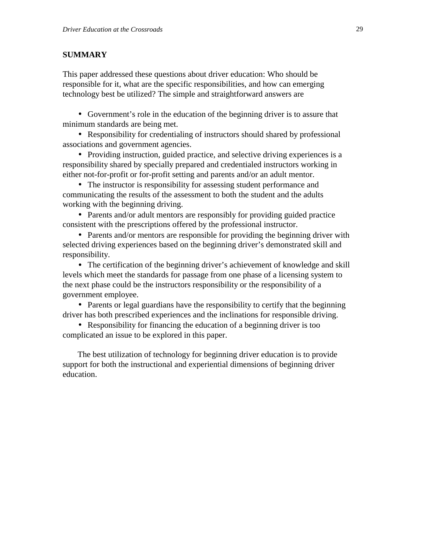# **SUMMARY**

This paper addressed these questions about driver education: Who should be responsible for it, what are the specific responsibilities, and how can emerging technology best be utilized? The simple and straightforward answers are

• Government's role in the education of the beginning driver is to assure that minimum standards are being met.

• Responsibility for credentialing of instructors should shared by professional associations and government agencies.

• Providing instruction, guided practice, and selective driving experiences is a responsibility shared by specially prepared and credentialed instructors working in either not-for-profit or for-profit setting and parents and/or an adult mentor.

• The instructor is responsibility for assessing student performance and communicating the results of the assessment to both the student and the adults working with the beginning driving.

• Parents and/or adult mentors are responsibly for providing guided practice consistent with the prescriptions offered by the professional instructor.

• Parents and/or mentors are responsible for providing the beginning driver with selected driving experiences based on the beginning driver's demonstrated skill and responsibility.

• The certification of the beginning driver's achievement of knowledge and skill levels which meet the standards for passage from one phase of a licensing system to the next phase could be the instructors responsibility or the responsibility of a government employee.

• Parents or legal guardians have the responsibility to certify that the beginning driver has both prescribed experiences and the inclinations for responsible driving.

• Responsibility for financing the education of a beginning driver is too complicated an issue to be explored in this paper.

The best utilization of technology for beginning driver education is to provide support for both the instructional and experiential dimensions of beginning driver education.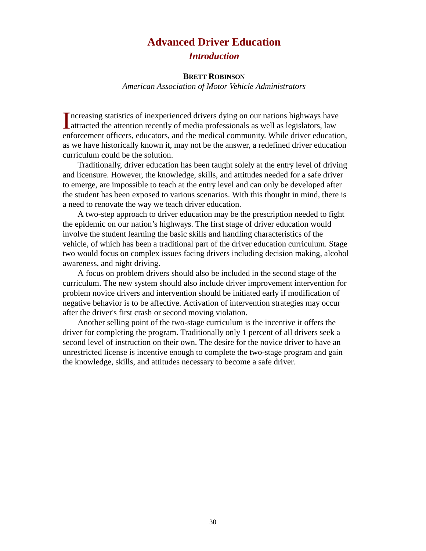# **Advanced Driver Education**

# *Introduction*

### **BRETT ROBINSON**

*American Association of Motor Vehicle Administrators*

Increasing statistics of inexperienced drivers dying on our nations highways have attracted the attention recently of media professionals as well as legislators, law **L**attracted the attention recently of media professionals as well as legislators, law enforcement officers, educators, and the medical community. While driver education, as we have historically known it, may not be the answer, a redefined driver education curriculum could be the solution.

Traditionally, driver education has been taught solely at the entry level of driving and licensure. However, the knowledge, skills, and attitudes needed for a safe driver to emerge, are impossible to teach at the entry level and can only be developed after the student has been exposed to various scenarios. With this thought in mind, there is a need to renovate the way we teach driver education.

A two-step approach to driver education may be the prescription needed to fight the epidemic on our nation's highways. The first stage of driver education would involve the student learning the basic skills and handling characteristics of the vehicle, of which has been a traditional part of the driver education curriculum. Stage two would focus on complex issues facing drivers including decision making, alcohol awareness, and night driving.

A focus on problem drivers should also be included in the second stage of the curriculum. The new system should also include driver improvement intervention for problem novice drivers and intervention should be initiated early if modification of negative behavior is to be affective. Activation of intervention strategies may occur after the driver's first crash or second moving violation.

Another selling point of the two-stage curriculum is the incentive it offers the driver for completing the program. Traditionally only 1 percent of all drivers seek a second level of instruction on their own. The desire for the novice driver to have an unrestricted license is incentive enough to complete the two-stage program and gain the knowledge, skills, and attitudes necessary to become a safe driver.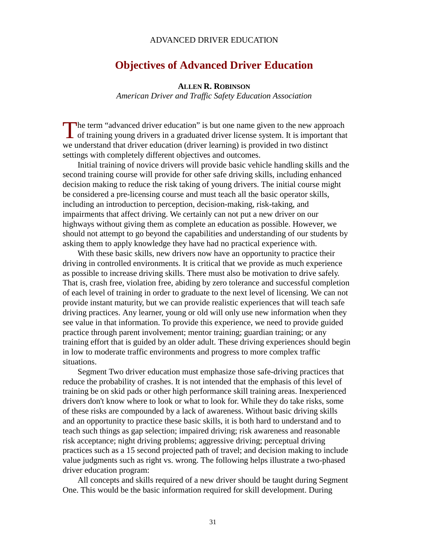#### ADVANCED DRIVER EDUCATION

# **Objectives of Advanced Driver Education**

#### **ALLEN R. ROBINSON**

*American Driver and Traffic Safety Education Association*

he term "advanced driver education" is but one name given to the new approach The term "advanced driver education" is but one name given to the new approach of training young drivers in a graduated driver license system. It is important that we understand that driver education (driver learning) is provided in two distinct settings with completely different objectives and outcomes.

Initial training of novice drivers will provide basic vehicle handling skills and the second training course will provide for other safe driving skills, including enhanced decision making to reduce the risk taking of young drivers. The initial course might be considered a pre-licensing course and must teach all the basic operator skills, including an introduction to perception, decision-making, risk-taking, and impairments that affect driving. We certainly can not put a new driver on our highways without giving them as complete an education as possible. However, we should not attempt to go beyond the capabilities and understanding of our students by asking them to apply knowledge they have had no practical experience with.

With these basic skills, new drivers now have an opportunity to practice their driving in controlled environments. It is critical that we provide as much experience as possible to increase driving skills. There must also be motivation to drive safely. That is, crash free, violation free, abiding by zero tolerance and successful completion of each level of training in order to graduate to the next level of licensing. We can not provide instant maturity, but we can provide realistic experiences that will teach safe driving practices. Any learner, young or old will only use new information when they see value in that information. To provide this experience, we need to provide guided practice through parent involvement; mentor training; guardian training; or any training effort that is guided by an older adult. These driving experiences should begin in low to moderate traffic environments and progress to more complex traffic situations.

Segment Two driver education must emphasize those safe-driving practices that reduce the probability of crashes. It is not intended that the emphasis of this level of training be on skid pads or other high performance skill training areas. Inexperienced drivers don't know where to look or what to look for. While they do take risks, some of these risks are compounded by a lack of awareness. Without basic driving skills and an opportunity to practice these basic skills, it is both hard to understand and to teach such things as gap selection; impaired driving; risk awareness and reasonable risk acceptance; night driving problems; aggressive driving; perceptual driving practices such as a 15 second projected path of travel; and decision making to include value judgments such as right vs. wrong. The following helps illustrate a two-phased driver education program:

All concepts and skills required of a new driver should be taught during Segment One. This would be the basic information required for skill development. During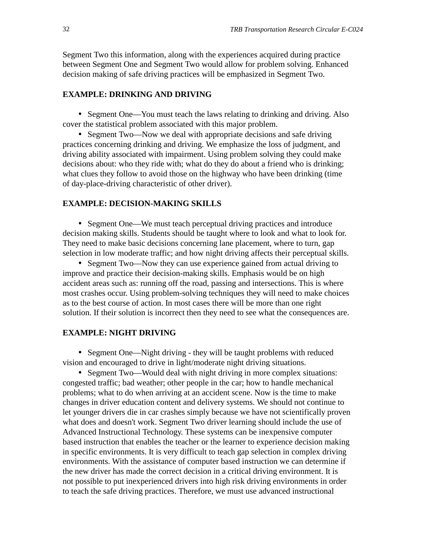Segment Two this information, along with the experiences acquired during practice between Segment One and Segment Two would allow for problem solving. Enhanced decision making of safe driving practices will be emphasized in Segment Two.

#### **EXAMPLE: DRINKING AND DRIVING**

• Segment One—You must teach the laws relating to drinking and driving. Also cover the statistical problem associated with this major problem.

• Segment Two—Now we deal with appropriate decisions and safe driving practices concerning drinking and driving. We emphasize the loss of judgment, and driving ability associated with impairment. Using problem solving they could make decisions about: who they ride with; what do they do about a friend who is drinking; what clues they follow to avoid those on the highway who have been drinking (time of day-place-driving characteristic of other driver).

## **EXAMPLE: DECISION-MAKING SKILLS**

• Segment One—We must teach perceptual driving practices and introduce decision making skills. Students should be taught where to look and what to look for. They need to make basic decisions concerning lane placement, where to turn, gap selection in low moderate traffic; and how night driving affects their perceptual skills.

• Segment Two—Now they can use experience gained from actual driving to improve and practice their decision-making skills. Emphasis would be on high accident areas such as: running off the road, passing and intersections. This is where most crashes occur. Using problem-solving techniques they will need to make choices as to the best course of action. In most cases there will be more than one right solution. If their solution is incorrect then they need to see what the consequences are.

# **EXAMPLE: NIGHT DRIVING**

• Segment One—Night driving - they will be taught problems with reduced vision and encouraged to drive in light/moderate night driving situations.

• Segment Two—Would deal with night driving in more complex situations: congested traffic; bad weather; other people in the car; how to handle mechanical problems; what to do when arriving at an accident scene. Now is the time to make changes in driver education content and delivery systems. We should not continue to let younger drivers die in car crashes simply because we have not scientifically proven what does and doesn't work. Segment Two driver learning should include the use of Advanced Instructional Technology. These systems can be inexpensive computer based instruction that enables the teacher or the learner to experience decision making in specific environments. It is very difficult to teach gap selection in complex driving environments. With the assistance of computer based instruction we can determine if the new driver has made the correct decision in a critical driving environment. It is not possible to put inexperienced drivers into high risk driving environments in order to teach the safe driving practices. Therefore, we must use advanced instructional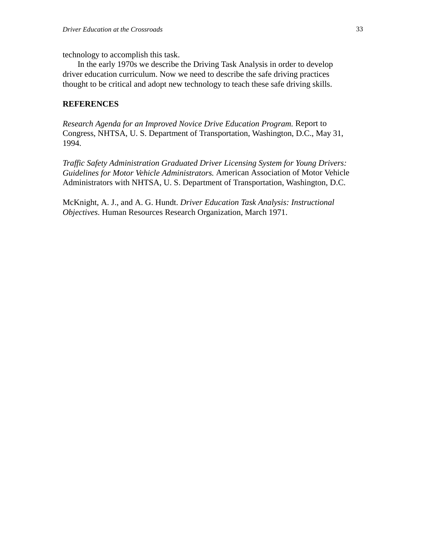technology to accomplish this task.

In the early 1970s we describe the Driving Task Analysis in order to develop driver education curriculum. Now we need to describe the safe driving practices thought to be critical and adopt new technology to teach these safe driving skills.

## **REFERENCES**

*Research Agenda for an Improved Novice Drive Education Program.* Report to Congress, NHTSA, U. S. Department of Transportation, Washington, D.C., May 31, 1994.

*Traffic Safety Administration Graduated Driver Licensing System for Young Drivers: Guidelines for Motor Vehicle Administrators.* American Association of Motor Vehicle Administrators with NHTSA, U. S. Department of Transportation, Washington, D.C.

McKnight, A. J., and A. G. Hundt. *Driver Education Task Analysis: Instructional Objectives*. Human Resources Research Organization, March 1971.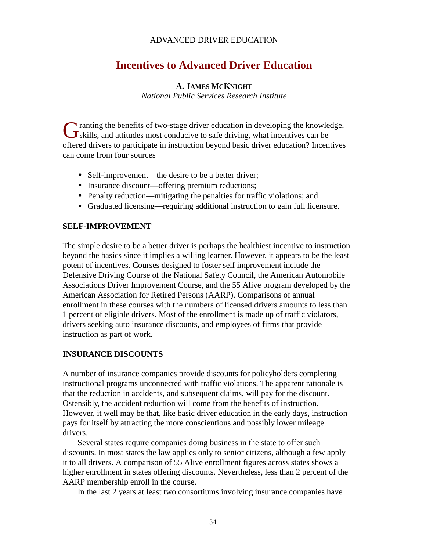# ADVANCED DRIVER EDUCATION

# **Incentives to Advanced Driver Education**

## **A. JAMES MCKNIGHT**

*National Public Services Research Institute*

ranting the benefits of two-stage driver education in developing the knowledge, G ranting the benefits of two-stage driver education in developing the knowlers can be skills, and attitudes most conducive to safe driving, what incentives can be offered drivers to participate in instruction beyond basic driver education? Incentives can come from four sources

- Self-improvement—the desire to be a better driver;
- Insurance discount—offering premium reductions;
- Penalty reduction—mitigating the penalties for traffic violations; and
- Graduated licensing—requiring additional instruction to gain full licensure.

# **SELF-IMPROVEMENT**

The simple desire to be a better driver is perhaps the healthiest incentive to instruction beyond the basics since it implies a willing learner. However, it appears to be the least potent of incentives. Courses designed to foster self improvement include the Defensive Driving Course of the National Safety Council, the American Automobile Associations Driver Improvement Course, and the 55 Alive program developed by the American Association for Retired Persons (AARP). Comparisons of annual enrollment in these courses with the numbers of licensed drivers amounts to less than 1 percent of eligible drivers. Most of the enrollment is made up of traffic violators, drivers seeking auto insurance discounts, and employees of firms that provide instruction as part of work.

# **INSURANCE DISCOUNTS**

A number of insurance companies provide discounts for policyholders completing instructional programs unconnected with traffic violations. The apparent rationale is that the reduction in accidents, and subsequent claims, will pay for the discount. Ostensibly, the accident reduction will come from the benefits of instruction. However, it well may be that, like basic driver education in the early days, instruction pays for itself by attracting the more conscientious and possibly lower mileage drivers.

Several states require companies doing business in the state to offer such discounts. In most states the law applies only to senior citizens, although a few apply it to all drivers. A comparison of 55 Alive enrollment figures across states shows a higher enrollment in states offering discounts. Nevertheless, less than 2 percent of the AARP membership enroll in the course.

In the last 2 years at least two consortiums involving insurance companies have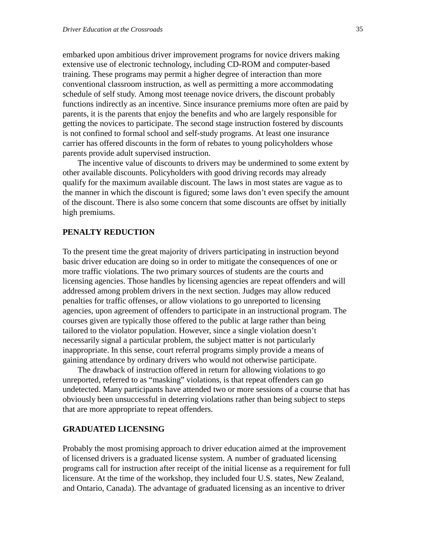embarked upon ambitious driver improvement programs for novice drivers making extensive use of electronic technology, including CD-ROM and computer-based training. These programs may permit a higher degree of interaction than more conventional classroom instruction, as well as permitting a more accommodating schedule of self study. Among most teenage novice drivers, the discount probably functions indirectly as an incentive. Since insurance premiums more often are paid by parents, it is the parents that enjoy the benefits and who are largely responsible for getting the novices to participate. The second stage instruction fostered by discounts is not confined to formal school and self-study programs. At least one insurance carrier has offered discounts in the form of rebates to young policyholders whose parents provide adult supervised instruction.

The incentive value of discounts to drivers may be undermined to some extent by other available discounts. Policyholders with good driving records may already qualify for the maximum available discount. The laws in most states are vague as to the manner in which the discount is figured; some laws don't even specify the amount of the discount. There is also some concern that some discounts are offset by initially high premiums.

#### **PENALTY REDUCTION**

To the present time the great majority of drivers participating in instruction beyond basic driver education are doing so in order to mitigate the consequences of one or more traffic violations. The two primary sources of students are the courts and licensing agencies. Those handles by licensing agencies are repeat offenders and will addressed among problem drivers in the next section. Judges may allow reduced penalties for traffic offenses, or allow violations to go unreported to licensing agencies, upon agreement of offenders to participate in an instructional program. The courses given are typically those offered to the public at large rather than being tailored to the violator population. However, since a single violation doesn't necessarily signal a particular problem, the subject matter is not particularly inappropriate. In this sense, court referral programs simply provide a means of gaining attendance by ordinary drivers who would not otherwise participate.

The drawback of instruction offered in return for allowing violations to go unreported, referred to as "masking" violations, is that repeat offenders can go undetected. Many participants have attended two or more sessions of a course that has obviously been unsuccessful in deterring violations rather than being subject to steps that are more appropriate to repeat offenders.

#### **GRADUATED LICENSING**

Probably the most promising approach to driver education aimed at the improvement of licensed drivers is a graduated license system. A number of graduated licensing programs call for instruction after receipt of the initial license as a requirement for full licensure. At the time of the workshop, they included four U.S. states, New Zealand, and Ontario, Canada). The advantage of graduated licensing as an incentive to driver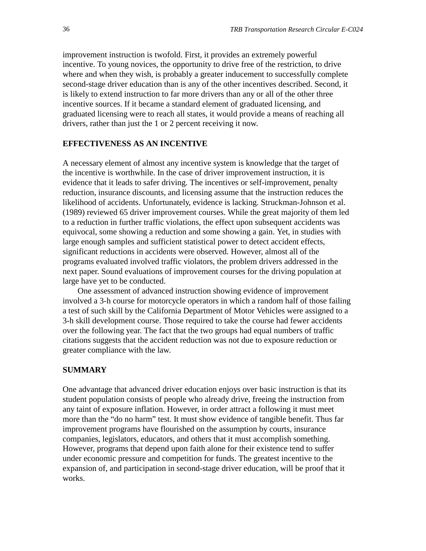improvement instruction is twofold. First, it provides an extremely powerful incentive. To young novices, the opportunity to drive free of the restriction, to drive where and when they wish, is probably a greater inducement to successfully complete second-stage driver education than is any of the other incentives described. Second, it is likely to extend instruction to far more drivers than any or all of the other three incentive sources. If it became a standard element of graduated licensing, and graduated licensing were to reach all states, it would provide a means of reaching all drivers, rather than just the 1 or 2 percent receiving it now.

#### **EFFECTIVENESS AS AN INCENTIVE**

A necessary element of almost any incentive system is knowledge that the target of the incentive is worthwhile. In the case of driver improvement instruction, it is evidence that it leads to safer driving. The incentives or self-improvement, penalty reduction, insurance discounts, and licensing assume that the instruction reduces the likelihood of accidents. Unfortunately, evidence is lacking. Struckman-Johnson et al. (1989) reviewed 65 driver improvement courses. While the great majority of them led to a reduction in further traffic violations, the effect upon subsequent accidents was equivocal, some showing a reduction and some showing a gain. Yet, in studies with large enough samples and sufficient statistical power to detect accident effects, significant reductions in accidents were observed. However, almost all of the programs evaluated involved traffic violators, the problem drivers addressed in the next paper. Sound evaluations of improvement courses for the driving population at large have yet to be conducted.

One assessment of advanced instruction showing evidence of improvement involved a 3-h course for motorcycle operators in which a random half of those failing a test of such skill by the California Department of Motor Vehicles were assigned to a 3-h skill development course. Those required to take the course had fewer accidents over the following year. The fact that the two groups had equal numbers of traffic citations suggests that the accident reduction was not due to exposure reduction or greater compliance with the law.

#### **SUMMARY**

One advantage that advanced driver education enjoys over basic instruction is that its student population consists of people who already drive, freeing the instruction from any taint of exposure inflation. However, in order attract a following it must meet more than the "do no harm" test. It must show evidence of tangible benefit. Thus far improvement programs have flourished on the assumption by courts, insurance companies, legislators, educators, and others that it must accomplish something. However, programs that depend upon faith alone for their existence tend to suffer under economic pressure and competition for funds. The greatest incentive to the expansion of, and participation in second-stage driver education, will be proof that it works.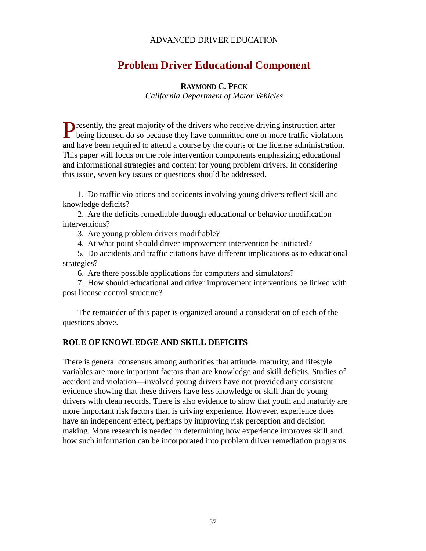# ADVANCED DRIVER EDUCATION

# **Problem Driver Educational Component**

#### **RAYMOND C. PECK**

*California Department of Motor Vehicles*

**P** resently, the great majority of the drivers who receive driving instruction after Presently, the great majority of the drivers who receive driving instruction after being licensed do so because they have committed one or more traffic violations and have been required to attend a course by the courts or the license administration. This paper will focus on the role intervention components emphasizing educational and informational strategies and content for young problem drivers. In considering this issue, seven key issues or questions should be addressed.

1. Do traffic violations and accidents involving young drivers reflect skill and knowledge deficits?

2. Are the deficits remediable through educational or behavior modification interventions?

3. Are young problem drivers modifiable?

4. At what point should driver improvement intervention be initiated?

5. Do accidents and traffic citations have different implications as to educational strategies?

6. Are there possible applications for computers and simulators?

7. How should educational and driver improvement interventions be linked with post license control structure?

The remainder of this paper is organized around a consideration of each of the questions above.

#### **ROLE OF KNOWLEDGE AND SKILL DEFICITS**

There is general consensus among authorities that attitude, maturity, and lifestyle variables are more important factors than are knowledge and skill deficits. Studies of accident and violation—involved young drivers have not provided any consistent evidence showing that these drivers have less knowledge or skill than do young drivers with clean records. There is also evidence to show that youth and maturity are more important risk factors than is driving experience. However, experience does have an independent effect, perhaps by improving risk perception and decision making. More research is needed in determining how experience improves skill and how such information can be incorporated into problem driver remediation programs.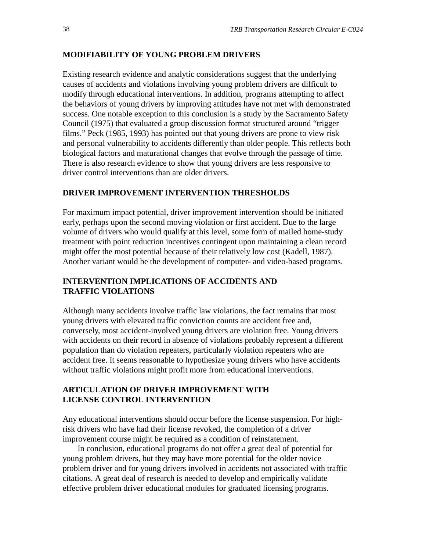#### **MODIFIABILITY OF YOUNG PROBLEM DRIVERS**

Existing research evidence and analytic considerations suggest that the underlying causes of accidents and violations involving young problem drivers are difficult to modify through educational interventions. In addition, programs attempting to affect the behaviors of young drivers by improving attitudes have not met with demonstrated success. One notable exception to this conclusion is a study by the Sacramento Safety Council (1975) that evaluated a group discussion format structured around "trigger films." Peck (1985, 1993) has pointed out that young drivers are prone to view risk and personal vulnerability to accidents differently than older people. This reflects both biological factors and maturational changes that evolve through the passage of time. There is also research evidence to show that young drivers are less responsive to driver control interventions than are older drivers.

# **DRIVER IMPROVEMENT INTERVENTION THRESHOLDS**

For maximum impact potential, driver improvement intervention should be initiated early, perhaps upon the second moving violation or first accident. Due to the large volume of drivers who would qualify at this level, some form of mailed home-study treatment with point reduction incentives contingent upon maintaining a clean record might offer the most potential because of their relatively low cost (Kadell, 1987). Another variant would be the development of computer- and video-based programs.

## **INTERVENTION IMPLICATIONS OF ACCIDENTS AND TRAFFIC VIOLATIONS**

Although many accidents involve traffic law violations, the fact remains that most young drivers with elevated traffic conviction counts are accident free and, conversely, most accident-involved young drivers are violation free. Young drivers with accidents on their record in absence of violations probably represent a different population than do violation repeaters, particularly violation repeaters who are accident free. It seems reasonable to hypothesize young drivers who have accidents without traffic violations might profit more from educational interventions.

## **ARTICULATION OF DRIVER IMPROVEMENT WITH LICENSE CONTROL INTERVENTION**

Any educational interventions should occur before the license suspension. For highrisk drivers who have had their license revoked, the completion of a driver improvement course might be required as a condition of reinstatement.

In conclusion, educational programs do not offer a great deal of potential for young problem drivers, but they may have more potential for the older novice problem driver and for young drivers involved in accidents not associated with traffic citations. A great deal of research is needed to develop and empirically validate effective problem driver educational modules for graduated licensing programs.